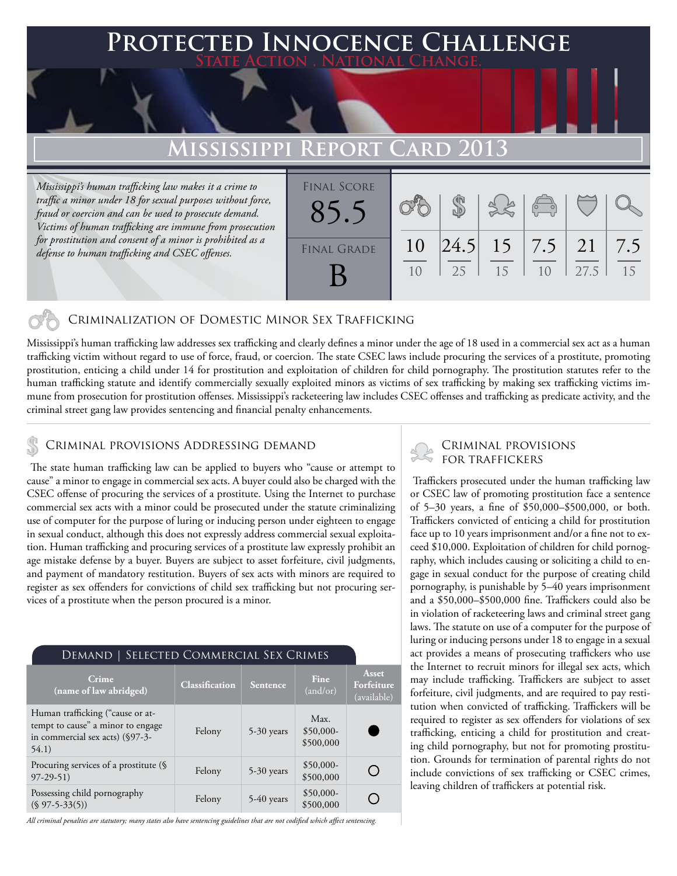## **Protected Innocence Challenge State Action . National Change.**

# **Mississippi Report Card 2013**

*Mississippi's human trafficking law makes it a crime to traffic a minor under 18 for sexual purposes without force, fraud or coercion and can be used to prosecute demand. Victims of human trafficking are immune from prosecution for prostitution and consent of a minor is prohibited as a defense to human trafficking and CSEC offenses.*

| <b>FINAL SCORE</b><br> 24.5 <br>10<br><b>FINAL GRADE</b> | $\begin{pmatrix} 0 & 0 \\ 0 & 0 \end{pmatrix}$  |           |
|----------------------------------------------------------|-------------------------------------------------|-----------|
|                                                          |                                                 |           |
| 15<br>25                                                 | $15 \mid 7.5 \mid 21$<br>27.5<br>1 <sub>0</sub> | 7.5<br>15 |

## Criminalization of Domestic Minor Sex Trafficking

Mississippi's human trafficking law addresses sex trafficking and clearly defines a minor under the age of 18 used in a commercial sex act as a human trafficking victim without regard to use of force, fraud, or coercion. The state CSEC laws include procuring the services of a prostitute, promoting prostitution, enticing a child under 14 for prostitution and exploitation of children for child pornography. The prostitution statutes refer to the human trafficking statute and identify commercially sexually exploited minors as victims of sex trafficking by making sex trafficking victims immune from prosecution for prostitution offenses. Mississippi's racketeering law includes CSEC offenses and trafficking as predicate activity, and the criminal street gang law provides sentencing and financial penalty enhancements.

# CRIMINAL PROVISIONS ADDRESSING DEMAND<br>FOR TRAFFICKERS

 The state human trafficking law can be applied to buyers who "cause or attempt to cause" a minor to engage in commercial sex acts. A buyer could also be charged with the CSEC offense of procuring the services of a prostitute. Using the Internet to purchase commercial sex acts with a minor could be prosecuted under the statute criminalizing use of computer for the purpose of luring or inducing person under eighteen to engage in sexual conduct, although this does not expressly address commercial sexual exploitation. Human trafficking and procuring services of a prostitute law expressly prohibit an age mistake defense by a buyer. Buyers are subject to asset forfeiture, civil judgments, and payment of mandatory restitution. Buyers of sex acts with minors are required to register as sex offenders for convictions of child sex trafficking but not procuring services of a prostitute when the person procured is a minor.

#### Demand | Selected Commercial Sex Crimes **Asset Crime**<br> **Classification Sentence Fine**<br>  $\begin{bmatrix} \text{Gaussification} \end{bmatrix}$  **Sentence**  $\begin{bmatrix} \text{Fine} \end{bmatrix}$ **Crime Forfeiture**  (and/or) (available) Human trafficking ("cause or at-Max. tempt to cause" a minor to engage Felony 5-30 years \$50,000 in commercial sex acts) (§97-3- \$500,000 54.1) Procuring services of a prostitute (§ Felony 5-30 years \$50,000-<br>97-29-51) Felony 5-30 years \$500,000 ◯ \$500,000 Possessing child pornography<br>
(§ 97-5-33(5)) Felony 5-40 years \$500,000  $\bigcirc$ \$500,000

*All criminal penalties are statutory; many states also have sentencing guidelines that are not codified which affect sentencing.* 

# Criminal provisions

 Traffickers prosecuted under the human trafficking law or CSEC law of promoting prostitution face a sentence of 5–30 years, a fine of \$50,000–\$500,000, or both. Traffickers convicted of enticing a child for prostitution face up to 10 years imprisonment and/or a fine not to exceed \$10,000. Exploitation of children for child pornography, which includes causing or soliciting a child to engage in sexual conduct for the purpose of creating child pornography, is punishable by 5–40 years imprisonment and a \$50,000–\$500,000 fine. Traffickers could also be in violation of racketeering laws and criminal street gang laws. The statute on use of a computer for the purpose of luring or inducing persons under 18 to engage in a sexual act provides a means of prosecuting traffickers who use the Internet to recruit minors for illegal sex acts, which may include trafficking. Traffickers are subject to asset forfeiture, civil judgments, and are required to pay restitution when convicted of trafficking. Traffickers will be required to register as sex offenders for violations of sex trafficking, enticing a child for prostitution and creating child pornography, but not for promoting prostitution. Grounds for termination of parental rights do not include convictions of sex trafficking or CSEC crimes, leaving children of traffickers at potential risk.